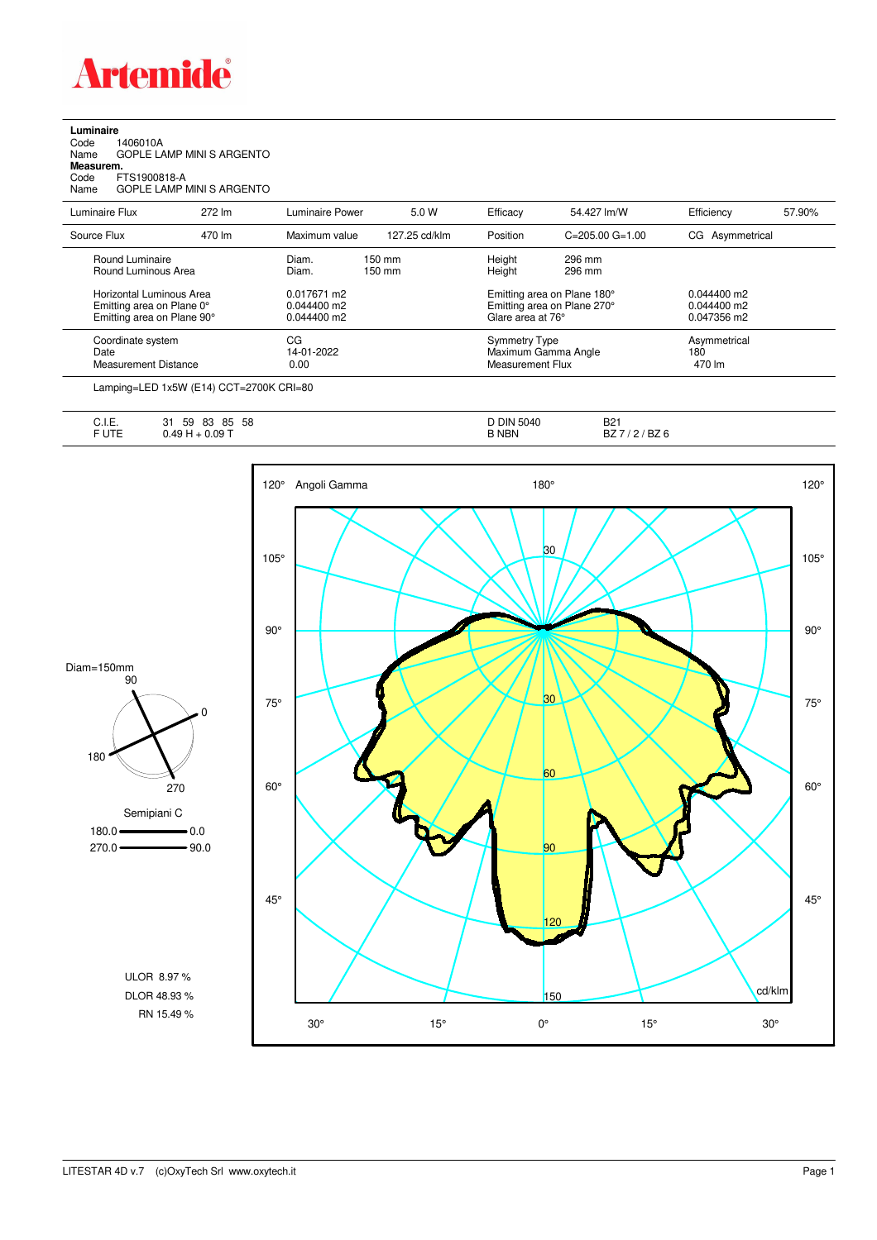

## **Luminaire**

| Code      | 1406010A                  |
|-----------|---------------------------|
| Name      | GOPLE LAMP MINI S ARGENTO |
| Measurem. |                           |
| Code      | FTS1900818-A              |

Code FTS1900818-A Name GOPLE LAMP MINI S ARGENTO

| Luminaire Flux                                                                      | 272 lm | Luminaire Power                               | 5.0 W                                | Efficacy          | 54.427 lm/W                                                     | Efficiency                                    | 57.90%                        |  |
|-------------------------------------------------------------------------------------|--------|-----------------------------------------------|--------------------------------------|-------------------|-----------------------------------------------------------------|-----------------------------------------------|-------------------------------|--|
| Source Flux                                                                         | 470 lm | Maximum value                                 | 127.25 cd/klm                        | Position          | $C = 205.00$ $G = 1.00$                                         | CG Asymmetrical                               |                               |  |
| Round Luminaire<br>Round Luminous Area                                              |        | Diam.<br>Diam.                                | $150 \text{ mm}$<br>$150 \text{ mm}$ | Height<br>Height  | 296 mm<br>296 mm                                                |                                               |                               |  |
| Horizontal Luminous Area<br>Emitting area on Plane 0°<br>Emitting area on Plane 90° |        | 0.017671 m2<br>$0.044400$ m2<br>$0.044400$ m2 |                                      | Glare area at 76° | Emitting area on Plane 180°<br>Emitting area on Plane 270°      | $0.044400$ m2<br>$0.044400$ m2<br>0.047356 m2 |                               |  |
| CG<br>Coordinate system<br>Date<br>Measurement Distance                             |        | 14-01-2022<br>0.00                            |                                      |                   | <b>Symmetry Type</b><br>Maximum Gamma Angle<br>Measurement Flux |                                               | Asymmetrical<br>180<br>470 lm |  |
|                                                                                     |        |                                               |                                      |                   |                                                                 |                                               |                               |  |

Lamping=LED 1x5W (E14) CCT=2700K CRI=80

| $\overline{1}$<br>-- | 58<br>$-1$<br>83<br>85<br>י ה | D DIN<br>5040 | D <sub>0</sub>   |
|----------------------|-------------------------------|---------------|------------------|
| ◡.୲.∟.               | 59<br>៶) l                    |               | DZ.              |
| ----<br>.            | $0.09 -$<br><b>T.J</b>        | 3 NBN         | .<br>DZ 0<br>DZ. |